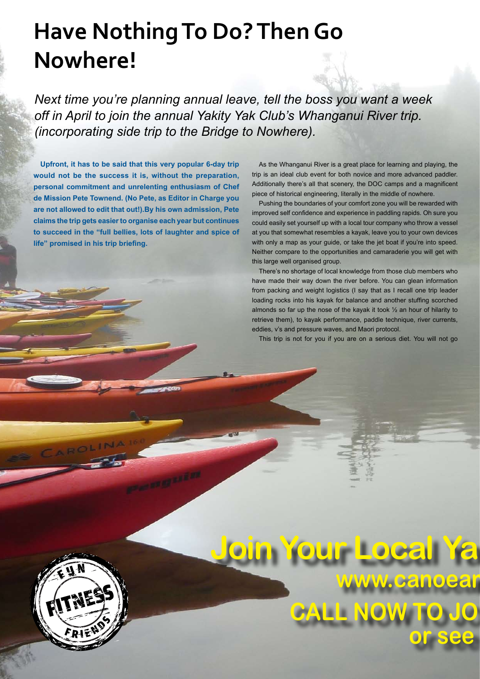## **Have Nothing To Do? Then Go Nowhere!**

*Next time you're planning annual leave, tell the boss you want a week off in April to join the annual Yakity Yak Club's Whanganui River trip. (incorporating side trip to the Bridge to Nowhere).* 

**Upfront, it has to be said that this very popular 6-day trip would not be the success it is, without the preparation, personal commitment and unrelenting enthusiasm of Chef de Mission Pete Townend. (No Pete, as Editor in Charge you are not allowed to edit that out!).By his own admission, Pete claims the trip gets easier to organise each year but continues to succeed in the "full bellies, lots of laughter and spice of life" promised in his trip briefing.**

As the Whanganui River is a great place for learning and playing, the trip is an ideal club event for both novice and more advanced paddler. Additionally there's all that scenery, the DOC camps and a magnificent piece of historical engineering, literally in the middle of nowhere.

Pushing the boundaries of your comfort zone you will be rewarded with improved self confidence and experience in paddling rapids. Oh sure you could easily set yourself up with a local tour company who throw a vessel at you that somewhat resembles a kayak, leave you to your own devices with only a map as your guide, or take the jet boat if you're into speed. Neither compare to the opportunities and camaraderie you will get with this large well organised group.

There's no shortage of local knowledge from those club members who have made their way down the river before. You can glean information from packing and weight logistics (I say that as I recall one trip leader loading rocks into his kayak for balance and another stuffing scorched almonds so far up the nose of the kayak it took ½ an hour of hilarity to retrieve them), to kayak performance, paddle technique, river currents, eddies, v's and pressure waves, and Maori protocol.

This trip is not for you if you are on a serious diet. You will not go



**CALL NOW TO JO www.canoean Join Your Local Ya or see IN 0508 KAYAKNZ**  $\mathbf{r}$  **kity Yak Club Today**